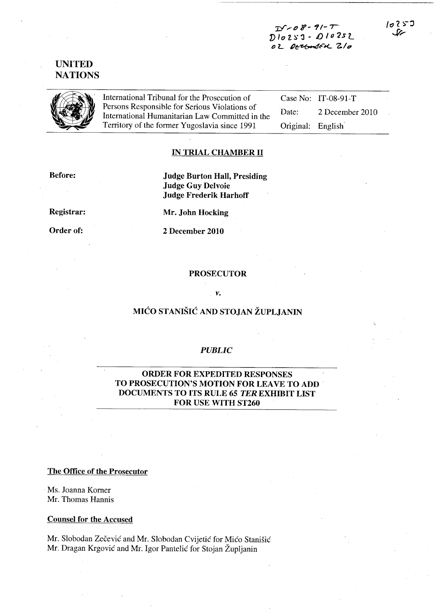$-08 - 91 - T$  $D10253 - D10252$ OZ DERGUNSEK Z/O

## **UNITED NATIONS**



International Tribunal for the Prosecution of Persons Responsible for Serious Violations of International Humanitarian Law Committed in the Territory of the former Yugoslavia since 1991

Case No: IT-08-91-T 2 December 2010 Date: Original: English

## **IN TRIAL CHAMBER II**

**Before:** 

**Judge Burton Hall, Presiding Judge Guy Delvoie Judge Frederik Harhoff** 

Registrar:

Order of:

Mr. John Hocking

2 December 2010

### **PROSECUTOR**

V.

# MIĆO STANIŠIĆ AND STOJAN ŽUPLJANIN

#### **PUBLIC**

### **ORDER FOR EXPEDITED RESPONSES** TO PROSECUTION'S MOTION FOR LEAVE TO ADD DOCUMENTS TO ITS RULE 65 TER EXHIBIT LIST FOR USE WITH ST260

The Office of the Prosecutor

Ms. Joanna Korner Mr. Thomas Hannis

**Counsel for the Accused** 

Mr. Slobodan Zečević and Mr. Slobodan Cvijetić for Mićo Stanišić Mr. Dragan Krgović and Mr. Igor Pantelić for Stojan Župljanin